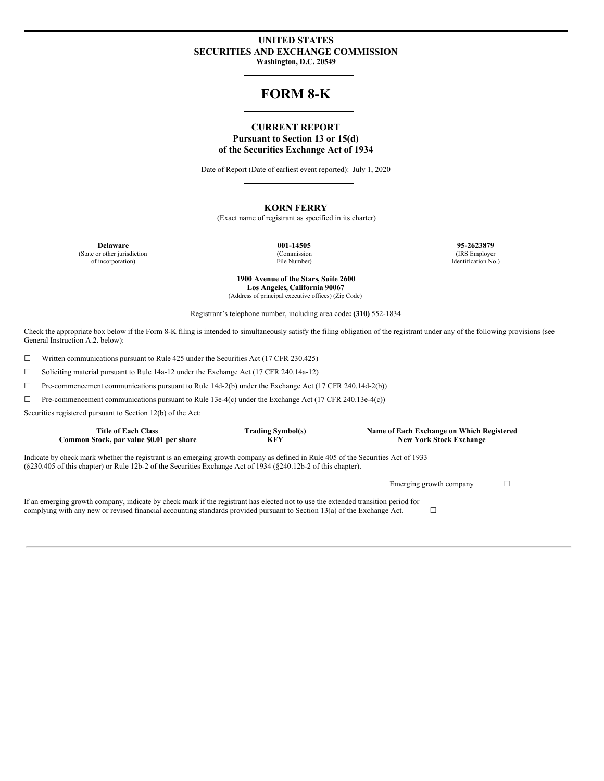#### **UNITED STATES SECURITIES AND EXCHANGE COMMISSION Washington, D.C. 20549**

## **FORM 8-K**

## **CURRENT REPORT Pursuant to Section 13 or 15(d) of the Securities Exchange Act of 1934**

Date of Report (Date of earliest event reported): July 1, 2020

## **KORN FERRY**

(Exact name of registrant as specified in its charter)

(State or other jurisdiction of incorporation)

(Commission File Number)

**Delaware 001-14505 95-2623879** (IRS Employer Identification No.)

> **1900 Avenue of the Stars, Suite 2600 Los Angeles, California 90067** (Address of principal executive offices) (Zip Code)

Registrant's telephone number, including area code**: (310)** 552-1834

Check the appropriate box below if the Form 8-K filing is intended to simultaneously satisfy the filing obligation of the registrant under any of the following provisions (see General Instruction A.2. below):

☐ Written communications pursuant to Rule 425 under the Securities Act (17 CFR 230.425)

☐ Soliciting material pursuant to Rule 14a-12 under the Exchange Act (17 CFR 240.14a-12)

☐ Pre-commencement communications pursuant to Rule 14d-2(b) under the Exchange Act (17 CFR 240.14d-2(b))

☐ Pre-commencement communications pursuant to Rule 13e-4(c) under the Exchange Act (17 CFR 240.13e-4(c))

Securities registered pursuant to Section 12(b) of the Act:

| <b>Title of Each Class</b><br>Common Stock, par value \$0.01 per share                                                                                                                                                                                         | <b>Trading Symbol(s)</b><br>KFY | Name of Each Exchange on Which Registered<br><b>New York Stock Exchange</b> |  |  |  |  |  |  |  |
|----------------------------------------------------------------------------------------------------------------------------------------------------------------------------------------------------------------------------------------------------------------|---------------------------------|-----------------------------------------------------------------------------|--|--|--|--|--|--|--|
| Indicate by check mark whether the registrant is an emerging growth company as defined in Rule 405 of the Securities Act of 1933<br>$(8230.405 \text{ of this chapter})$ or Rule 12b-2 of the Securities Exchange Act of 1934 $(8240.12b-2)$ of this chapter). |                                 |                                                                             |  |  |  |  |  |  |  |
|                                                                                                                                                                                                                                                                |                                 | Emerging growth company                                                     |  |  |  |  |  |  |  |
| If an emerging growth company, indicate by check mark if the registrant has elected not to use the extended transition period for<br>complying with any new or revised financial accounting standards provided pursuant to Section 13(a) of the Exchange Act.  |                                 |                                                                             |  |  |  |  |  |  |  |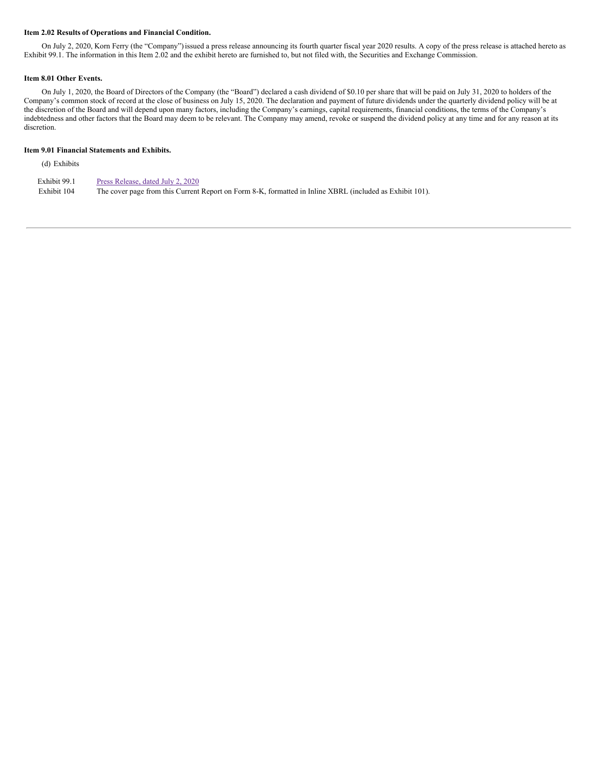#### **Item 2.02 Results of Operations and Financial Condition.**

On July 2, 2020, Korn Ferry (the "Company") issued a press release announcing its fourth quarter fiscal year 2020 results. A copy of the press release is attached hereto as Exhibit 99.1. The information in this Item 2.02 and the exhibit hereto are furnished to, but not filed with, the Securities and Exchange Commission.

#### **Item 8.01 Other Events.**

On July 1, 2020, the Board of Directors of the Company (the "Board") declared a cash dividend of \$0.10 per share that will be paid on July 31, 2020 to holders of the Company's common stock of record at the close of business on July 15, 2020. The declaration and payment of future dividends under the quarterly dividend policy will be at the discretion of the Board and will depend upon many factors, including the Company's earnings, capital requirements, financial conditions, the terms of the Company's indebtedness and other factors that the Board may deem to be relevant. The Company may amend, revoke or suspend the dividend policy at any time and for any reason at its discretion.

#### **Item 9.01 Financial Statements and Exhibits.**

(d) Exhibits

| Exhibit 99.1 | Press Release, dated July 2, 2020                                                                        |
|--------------|----------------------------------------------------------------------------------------------------------|
| Exhibit 104  | The cover page from this Current Report on Form 8-K, formatted in Inline XBRL (included as Exhibit 101). |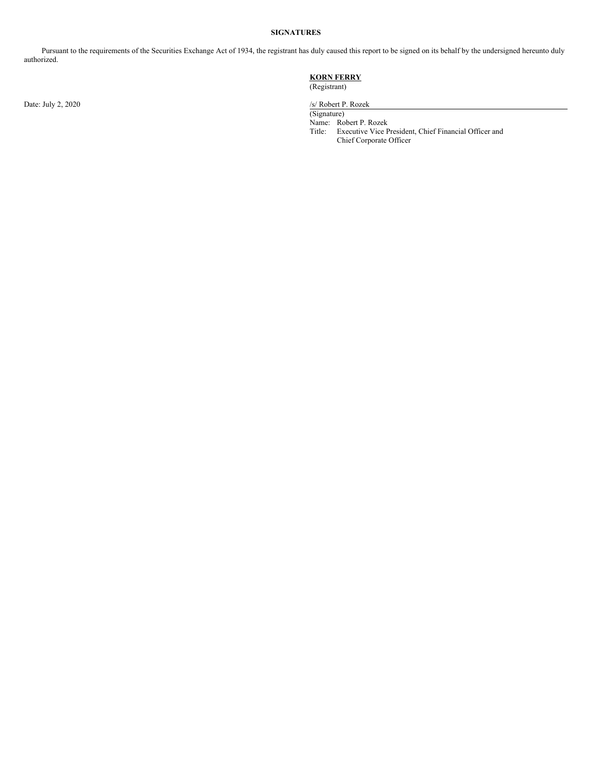## **SIGNATURES**

Pursuant to the requirements of the Securities Exchange Act of 1934, the registrant has duly caused this report to be signed on its behalf by the undersigned hereunto duly authorized.

## **KORN FERRY**

(Registrant)

Date: July 2, 2020 /s/ Robert P. Rozek

(Signature) Name: Robert P. Rozek

Title: Executive Vice President, Chief Financial Officer and Chief Corporate Officer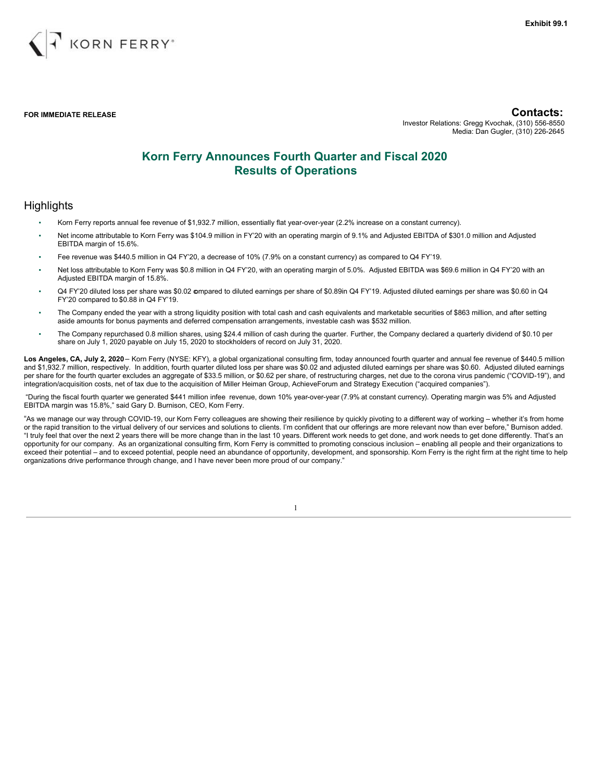

**FOR IMMEDIATE RELEASE Contacts:**

Investor Relations: Gregg Kvochak, (310) 556-8550 Media: Dan Gugler, (310) 226-2645

## **Korn Ferry Announces Fourth Quarter and Fiscal 2020 Results of Operations**

## **Highlights**

- Korn Ferry reports annual fee revenue of \$1,932.7 million, essentially flat year-over-year (2.2% increase on a constant currency).
- Net income attributable to Korn Ferry was \$104.9 million in FY'20 with an operating margin of 9.1% and Adjusted EBITDA of \$301.0 million and Adjusted EBITDA margin of 15.6%.
- Fee revenue was \$440.5 million in Q4 FY'20, a decrease of 10% (7.9% on a constant currency) as compared to Q4 FY'19.
- Net loss attributable to Korn Ferry was \$0.8 million in Q4 FY'20, with an operating margin of 5.0%. Adjusted EBITDA was \$69.6 million in Q4 FY'20 with an Adjusted EBITDA margin of 15.8%.
- Q4 FY'20 diluted loss per share was \$0.02 compared to diluted earnings per share of \$0.89in Q4 FY'19. Adjusted diluted earnings per share was \$0.60 in Q4 FY'20 compared to \$0.88 in Q4 FY'19.
- The Company ended the year with a strong liquidity position with total cash and cash equivalents and marketable securities of \$863 million, and after setting aside amounts for bonus payments and deferred compensation arrangements, investable cash was \$532 million.
- The Company repurchased 0.8 million shares, using \$24.4 million of cash during the quarter. Further, the Company declared a quarterly dividend of \$0.10 per share on July 1, 2020 payable on July 15, 2020 to stockholders of record on July 31, 2020.

**Los Angeles, CA, July 2, 2020** – Korn Ferry (NYSE: KFY), a global organizational consulting firm, today announced fourth quarter and annual fee revenue of \$440.5 million and \$1,932.7 million, respectively. In addition, fourth quarter diluted loss per share was \$0.02 and adjusted diluted earnings per share was \$0.60. Adjusted diluted earnings per share for the fourth quarter excludes an aggregate of \$33.5 million, or \$0.62 per share, of restructuring charges, net due to the corona virus pandemic ("COVID-19"), and integration/acquisition costs, net of tax due to the acquisition of Miller Heiman Group, AchieveForum and Strategy Execution ("acquired companies").

"During the fiscal fourth quarter we generated \$441 million infee revenue, down 10% year-over-year (7.9% at constant currency). Operating margin was 5% and Adjusted EBITDA margin was 15.8%," said Gary D. Burnison, CEO, Korn Ferry.

"As we manage our way through COVID-19, our Korn Ferry colleagues are showing their resilience by quickly pivoting to a different way of working – whether it's from home or the rapid transition to the virtual delivery of our services and solutions to clients. I'm confident that our offerings are more relevant now than ever before," Burnison added. "I truly feel that over the next 2 years there will be more change than in the last 10 years. Different work needs to get done, and work needs to get done differently. That's an opportunity for our company. As an organizational consulting firm, Korn Ferry is committed to promoting conscious inclusion – enabling all people and their organizations to exceed their potential – and to exceed potential, people need an abundance of opportunity, development, and sponsorship. Korn Ferry is the right firm at the right time to help organizations drive performance through change, and I have never been more proud of our company."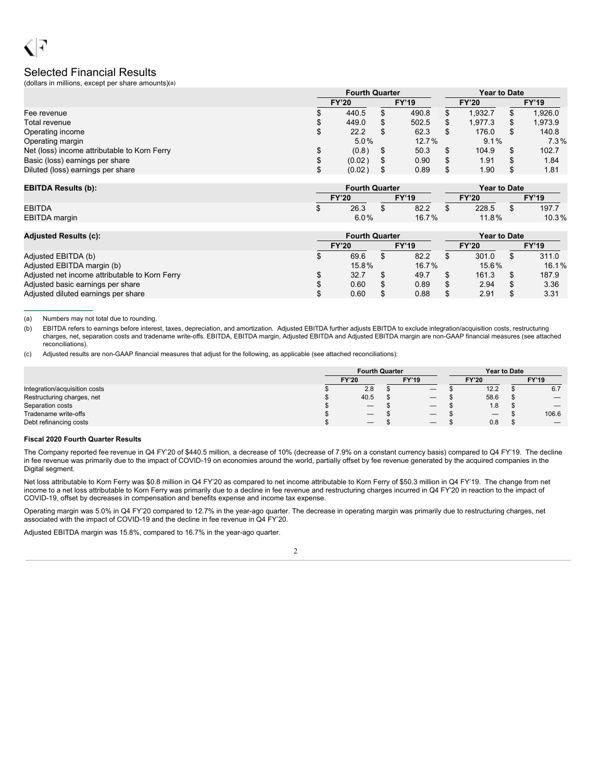# Selected Financial Results

(dollars in millions, except per share amounts)(a)

|                                              | <b>Fourth Quarter</b> |       |       |      |              | Year to Date |         |  |  |  |  |
|----------------------------------------------|-----------------------|-------|-------|------|--------------|--------------|---------|--|--|--|--|
|                                              | <b>FY'20</b>          |       |       |      | <b>FY'20</b> | <b>FY'19</b> |         |  |  |  |  |
| Fee revenue                                  | 440.5                 |       | 490.8 |      | 1.932.7      |              | 1.926.0 |  |  |  |  |
| Total revenue                                | 449.0                 |       | 502.5 |      | 1.977.3      |              | 1,973.9 |  |  |  |  |
| Operating income                             | 22.2                  |       | 62.3  |      | 176.0        |              | 140.8   |  |  |  |  |
| Operating margin                             | 5.0%                  | 12.7% |       | 9.1% |              |              | $7.3\%$ |  |  |  |  |
| Net (loss) income attributable to Korn Ferry | (0.8)                 |       | 50.3  |      | 104.9        |              | 102.7   |  |  |  |  |
| Basic (loss) earnings per share              | (0.02)                |       | 0.90  |      | 1.91         |              | 1.84    |  |  |  |  |
| Diluted (loss) earnings per share            | (0.02)                |       | 0.89  |      | 1.90         |              | 1.81    |  |  |  |  |

| <b>EBITDA Results (b):</b> |              | <b>Fourth Quarter</b> |  |              | Year to Date |       |  |              |  |  |
|----------------------------|--------------|-----------------------|--|--------------|--------------|-------|--|--------------|--|--|
|                            | <b>FY'20</b> |                       |  | <b>FY'19</b> | <b>FY'20</b> |       |  | <b>FY'19</b> |  |  |
| <b>EBITDA</b>              |              | 26.3                  |  | 82.2         |              | 228.5 |  | 197.7        |  |  |
| EBITDA margin              |              | 6.0%                  |  | 16.7%        |              | 11.8% |  | $10.3\%$     |  |  |

| <b>Adjusted Results (c):</b>                   | <b>Fourth Quarter</b> |              | <b>Year to Date</b> |       |  |              |  |
|------------------------------------------------|-----------------------|--------------|---------------------|-------|--|--------------|--|
|                                                | <b>FY'20</b>          | <b>FY'19</b> | <b>FY'20</b>        |       |  | <b>FY'19</b> |  |
| Adjusted EBITDA (b)                            | 69.6                  | 82.2         |                     | 301.0 |  | 311.0        |  |
| Adjusted EBITDA margin (b)                     | 15.8%                 | 16.7%        |                     | 15.6% |  | 16.1%        |  |
| Adjusted net income attributable to Korn Ferry | 32.7                  | 49.7         |                     | 161.3 |  | 187.9        |  |
| Adjusted basic earnings per share              | 0.60                  | 0.89         |                     | 2.94  |  | 3.36         |  |
| Adjusted diluted earnings per share            | 0.60                  | 0.88         |                     | 2.91  |  | 3.31         |  |

(a) Numbers may not total due to rounding.

 $\frac{1}{2}$  ,  $\frac{1}{2}$  ,  $\frac{1}{2}$  ,  $\frac{1}{2}$  ,  $\frac{1}{2}$  ,  $\frac{1}{2}$  ,  $\frac{1}{2}$ 

(b) EBITDA refers to earnings before interest, taxes, depreciation, and amortization. Adjusted EBITDA further adjusts EBITDA to exclude integration/acquisition costs, restructuring charges, net, separation costs and tradename write-offs. EBITDA, EBITDA margin, Adjusted EBITDA and Adjusted EBITDA margin are non-GAAP financial measures (see attached reconciliations).

(c) Adjusted results are non-GAAP financial measures that adjust for the following, as applicable (see attached reconciliations):

|                               | <b>Fourth Quarter</b> |                          |  |                                 |  | Year to Date |  |       |  |  |
|-------------------------------|-----------------------|--------------------------|--|---------------------------------|--|--------------|--|-------|--|--|
|                               | <b>FY'20</b>          |                          |  | <b>FY'19</b>                    |  | <b>FY'20</b> |  | FY'19 |  |  |
| Integration/acquisition costs |                       | 2.8                      |  | $\hspace{0.05cm}$               |  | 12.2         |  | 6.7   |  |  |
| Restructuring charges, net    |                       | 40.5                     |  | $\hspace{0.1mm}-\hspace{0.1mm}$ |  | 58.6         |  |       |  |  |
| Separation costs              |                       | $\overline{\phantom{0}}$ |  |                                 |  | 1.8          |  |       |  |  |
| Tradename write-offs          |                       | $\qquad \qquad \qquad$   |  | $\hspace{0.1mm}-\hspace{0.1mm}$ |  |              |  | 106.6 |  |  |
| Debt refinancing costs        |                       | $\qquad \qquad \qquad$   |  |                                 |  | 0.8          |  |       |  |  |

#### **Fiscal 2020 Fourth Quarter Results**

The Company reported fee revenue in Q4 FY'20 of \$440.5 million, a decrease of 10% (decrease of 7.9% on a constant currency basis) compared to Q4 FY'19. The decline in fee revenue was primarily due to the impact of COVID-19 on economies around the world, partially offset by fee revenue generated by the acquired companies in the Digital segment.

Net loss attributable to Korn Ferry was \$0.8 million in Q4 FY'20 as compared to net income attributable to Korn Ferry of \$50.3 million in Q4 FY'19. The change from net income to a net loss attributable to Korn Ferry was primarily due to a decline in fee revenue and restructuring charges incurred in Q4 FY'20 in reaction to the impact of COVID-19, offset by decreases in compensation and benefits expense and income tax expense.

Operating margin was 5.0% in Q4 FY'20 compared to 12.7% in the year-ago quarter. The decrease in operating margin was primarily due to restructuring charges, net associated with the impact of COVID-19 and the decline in fee revenue in Q4 FY'20.

Adjusted EBITDA margin was 15.8%, compared to 16.7% in the year-ago quarter.

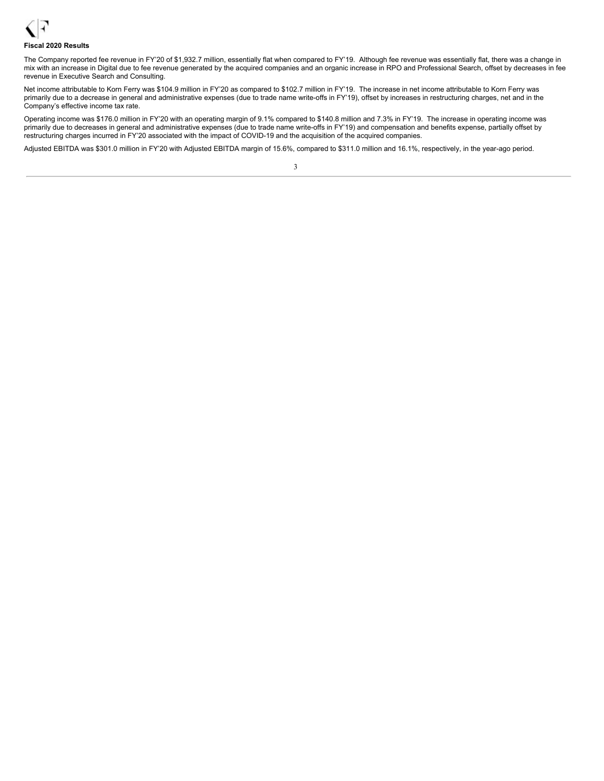

The Company reported fee revenue in FY'20 of \$1,932.7 million, essentially flat when compared to FY'19. Although fee revenue was essentially flat, there was a change in mix with an increase in Digital due to fee revenue generated by the acquired companies and an organic increase in RPO and Professional Search, offset by decreases in fee revenue in Executive Search and Consulting.

Net income attributable to Korn Ferry was \$104.9 million in FY'20 as compared to \$102.7 million in FY'19. The increase in net income attributable to Korn Ferry was primarily due to a decrease in general and administrative expenses (due to trade name write-offs in FY'19), offset by increases in restructuring charges, net and in the Company's effective income tax rate.

Operating income was \$176.0 million in FY'20 with an operating margin of 9.1% compared to \$140.8 million and 7.3% in FY'19. The increase in operating income was primarily due to decreases in general and administrative expenses (due to trade name write-offs in FY'19) and compensation and benefits expense, partially offset by restructuring charges incurred in FY'20 associated with the impact of COVID-19 and the acquisition of the acquired companies.

Adjusted EBITDA was \$301.0 million in FY'20 with Adjusted EBITDA margin of 15.6%, compared to \$311.0 million and 16.1%, respectively, in the year-ago period.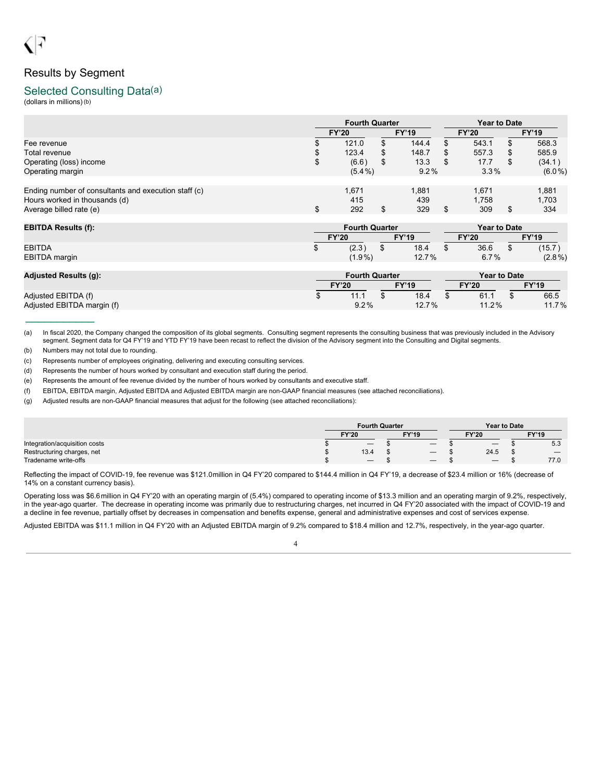## Results by Segment

## Selected Consulting Data(a)

(dollars in millions)(b)

|                                                      |              | <b>Fourth Quarter</b> |              | <b>Year to Date</b> |              |       |     |              |  |  |
|------------------------------------------------------|--------------|-----------------------|--------------|---------------------|--------------|-------|-----|--------------|--|--|
|                                                      | <b>FY'20</b> |                       | <b>FY'19</b> |                     | <b>FY'20</b> |       |     | <b>FY'19</b> |  |  |
| Fee revenue                                          |              | 121.0                 |              | 144.4               | \$           | 543.1 |     | 568.3        |  |  |
| Total revenue                                        | \$           | 123.4                 |              | 148.7               | S            | 557.3 | \$. | 585.9        |  |  |
| Operating (loss) income                              | \$           | (6.6)                 | S            | 13.3                | S            | 17.7  |     | (34.1)       |  |  |
| Operating margin                                     |              | $(5.4\%)$             | $9.2\%$      |                     |              | 3.3%  |     | $(6.0\%)$    |  |  |
|                                                      |              |                       |              |                     |              |       |     |              |  |  |
| Ending number of consultants and execution staff (c) |              | 1,671                 |              | 1,881               |              | 1.671 |     | 1,881        |  |  |
| Hours worked in thousands (d)                        |              | 415                   |              | 439                 |              | 1.758 |     | 1,703        |  |  |
| Average billed rate (e)                              | \$           | 292                   |              | 329                 | S            | 309   | \$. | 334          |  |  |

| <b>EBITDA Results (f):</b>     |                         | <b>Fourth Quarter</b> |                     |                     |  |  |  |  |
|--------------------------------|-------------------------|-----------------------|---------------------|---------------------|--|--|--|--|
|                                | <b>FY'20</b>            | <b>FY'19</b>          | <b>FY'20</b>        | <b>FY'19</b>        |  |  |  |  |
| <b>EBITDA</b><br>EBITDA margin | (2.3)<br>ง<br>$(1.9\%)$ | 18.4<br>$12.7\%$      | 36.6<br>6.7%        | (15.7)<br>$(2.8\%)$ |  |  |  |  |
| Adjusted Results (g):          |                         | <b>Fourth Quarter</b> | <b>Year to Date</b> |                     |  |  |  |  |
|                                | <b>FY'20</b>            | <b>FY'19</b>          | <b>FY'20</b>        | <b>FY'19</b>        |  |  |  |  |

Adjusted EBITDA (f) 8 11.1 \ \$ 18.4 \$ 66.5 \$ 66.5 Adjusted EBITDA margin (f) 9.2 % 12.7% 11.2% 11.7%

 $\frac{1}{2}$  ,  $\frac{1}{2}$  ,  $\frac{1}{2}$  ,  $\frac{1}{2}$  ,  $\frac{1}{2}$  ,  $\frac{1}{2}$ 

(a) In fiscal 2020, the Company changed the composition of its global segments. Consulting segment represents the consulting business that was previously included in the Advisory segment. Segment data for Q4 FY'19 and YTD FY'19 have been recast to reflect the division of the Advisory segment into the Consulting and Digital segments.

(b) Numbers may not total due to rounding.

(c) Represents number of employees originating, delivering and executing consulting services.

(d) Represents the number of hours worked by consultant and execution staff during the period.

(e) Represents the amount of fee revenue divided by the number of hours worked by consultants and executive staff.

(f) EBITDA, EBITDA margin, Adjusted EBITDA and Adjusted EBITDA margin are non-GAAP financial measures (see attached reconciliations).

(g) Adjusted results are non-GAAP financial measures that adjust for the following (see attached reconciliations):

|                               | <b>Fourth Quarter</b> |                                 |  |                                 |  | <b>Year to Date</b>            |  |              |  |  |
|-------------------------------|-----------------------|---------------------------------|--|---------------------------------|--|--------------------------------|--|--------------|--|--|
|                               | <b>FY'20</b>          |                                 |  | <b>FY'19</b>                    |  | <b>FY'20</b>                   |  | <b>FY'19</b> |  |  |
| Integration/acquisition costs |                       | $\hspace{0.1mm}-\hspace{0.1mm}$ |  | $\overline{\phantom{0}}$        |  |                                |  | 5.3          |  |  |
| Restructuring charges, net    |                       | 13.4                            |  | $\hspace{0.1mm}-\hspace{0.1mm}$ |  | 24.5                           |  |              |  |  |
| Tradename write-offs          |                       | $\qquad \qquad \qquad -$        |  | $\qquad \qquad \longleftarrow$  |  | $\qquad \qquad \longleftarrow$ |  | 77.0         |  |  |

Reflecting the impact of COVID-19, fee revenue was \$121.0million in Q4 FY'20 compared to \$144.4 million in Q4 FY'19, a decrease of \$23.4 million or 16% (decrease of 14% on a constant currency basis).

Operating loss was \$6.6million in Q4 FY'20 with an operating margin of (5.4%) compared to operating income of \$13.3 million and an operating margin of 9.2%, respectively, in the year-ago quarter. The decrease in operating income was primarily due to restructuring charges, net incurred in Q4 FY'20 associated with the impact of COVID-19 and a decline in fee revenue, partially offset by decreases in compensation and benefits expense, general and administrative expenses and cost of services expense.

Adjusted EBITDA was \$11.1 million in Q4 FY'20 with an Adjusted EBITDA margin of 9.2% compared to \$18.4 million and 12.7%, respectively, in the year-ago quarter.

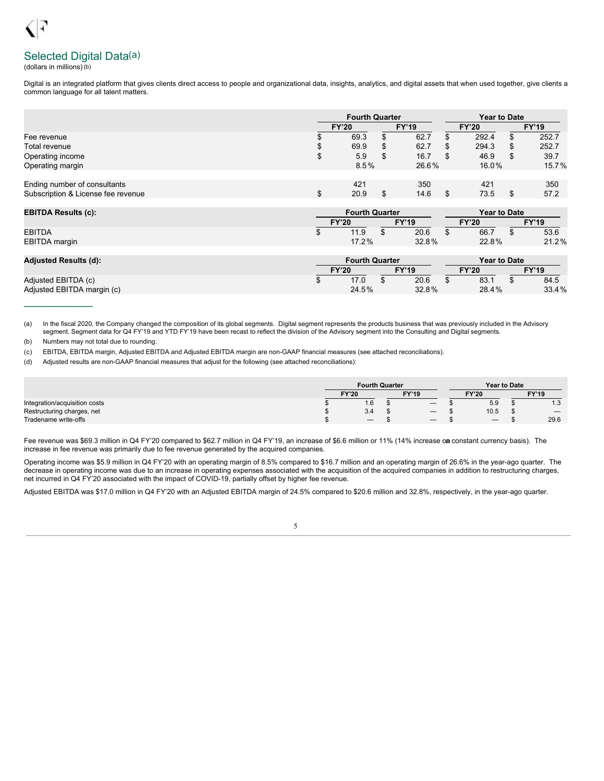## Selected Digital Data(a)

(dollars in millions)(b)

Digital is an integrated platform that gives clients direct access to people and organizational data, insights, analytics, and digital assets that when used together, give clients a common language for all talent matters.

|                                    |    | <b>Fourth Quarter</b> |    | <b>Year to Date</b> |    |                     |              |              |
|------------------------------------|----|-----------------------|----|---------------------|----|---------------------|--------------|--------------|
|                                    |    | <b>FY'20</b>          |    | <b>FY'19</b>        |    | <b>FY'20</b>        |              | <b>FY'19</b> |
| Fee revenue                        | \$ | 69.3                  | \$ | 62.7                | \$ | 292.4               | \$           | 252.7        |
| Total revenue                      | \$ | 69.9                  |    | 62.7                | \$ | 294.3               | \$           | 252.7        |
| Operating income                   | \$ | 5.9                   | \$ | 16.7                | \$ | 46.9                | \$           | 39.7         |
| Operating margin                   |    | 8.5%                  |    | 26.6%               |    | 16.0%               |              | 15.7%        |
|                                    |    |                       |    |                     |    |                     |              |              |
| Ending number of consultants       |    | 421                   |    | 350                 |    | 421                 |              | 350          |
| Subscription & License fee revenue | \$ | 20.9                  | \$ | 14.6                | \$ | 73.5                | \$           | 57.2         |
| <b>EBITDA Results (c):</b>         |    | <b>Fourth Quarter</b> |    |                     |    | <b>Year to Date</b> |              |              |
|                                    |    | <b>FY'20</b>          |    | <b>FY'19</b>        |    | <b>FY'20</b>        | <b>FY'19</b> |              |
| <b>EBITDA</b>                      | \$ | 11.9                  | \$ | 20.6                | \$ | 66.7                | \$           | 53.6         |
| <b>EBITDA</b> margin               |    | 17.2%                 |    | 32.8%               |    | 22.8%               |              | 21.2%        |
| <b>Adjusted Results (d):</b>       |    | <b>Fourth Quarter</b> |    |                     |    | <b>Year to Date</b> |              |              |
|                                    |    | <b>FY'20</b>          |    | <b>FY'19</b>        |    | <b>FY'20</b>        |              | <b>FY'19</b> |
| Adjusted EBITDA (c)                | \$ | 17.0                  | \$ | 20.6                | \$ | 83.1                | \$           | 84.5         |
| Adjusted EBITDA margin (c)         |    | 24.5%                 |    | 32.8%               |    | 28.4%               |              | 33.4%        |

(a) In the fiscal 2020, the Company changed the composition of its global segments. Digital segment represents the products business that was previously included in the Advisory segment. Segment data for Q4 FY'19 and YTD FY'19 have been recast to reflect the division of the Advisory segment into the Consulting and Digital segments.

(b) Numbers may not total due to rounding.

 $\frac{1}{2}$  ,  $\frac{1}{2}$  ,  $\frac{1}{2}$  ,  $\frac{1}{2}$  ,  $\frac{1}{2}$  ,  $\frac{1}{2}$  ,  $\frac{1}{2}$ 

(c) EBITDA, EBITDA margin, Adjusted EBITDA and Adjusted EBITDA margin are non-GAAP financial measures (see attached reconciliations).

(d) Adjusted results are non-GAAP financial measures that adjust for the following (see attached reconciliations):

|                               | <b>Fourth Quarter</b> |                          |  |                   |  | <b>Year to Date</b> |  |              |  |  |
|-------------------------------|-----------------------|--------------------------|--|-------------------|--|---------------------|--|--------------|--|--|
|                               | <b>FY'20</b>          |                          |  | <b>FY'19</b>      |  | <b>FY'20</b>        |  | <b>FY'19</b> |  |  |
| Integration/acquisition costs |                       | 1.6                      |  | $\qquad \qquad -$ |  | 5.9                 |  | 1.3          |  |  |
| Restructuring charges, net    |                       | 3.4                      |  | $\qquad \qquad -$ |  | 10.5                |  |              |  |  |
| Tradename write-offs          |                       | $\qquad \qquad \qquad -$ |  |                   |  |                     |  | 29.6         |  |  |

Fee revenue was \$69.3 million in Q4 FY'20 compared to \$62.7 million in Q4 FY'19, an increase of \$6.6 million or 11% (14% increase oa constant currency basis). The increase in fee revenue was primarily due to fee revenue generated by the acquired companies.

Operating income was \$5.9 million in Q4 FY'20 with an operating margin of 8.5% compared to \$16.7 million and an operating margin of 26.6% in the year-ago quarter. The decrease in operating income was due to an increase in operating expenses associated with the acquisition of the acquired companies in addition to restructuring charges, net incurred in Q4 FY'20 associated with the impact of COVID-19, partially offset by higher fee revenue.

Adjusted EBITDA was \$17.0 million in Q4 FY'20 with an Adjusted EBITDA margin of 24.5% compared to \$20.6 million and 32.8%, respectively, in the year-ago quarter.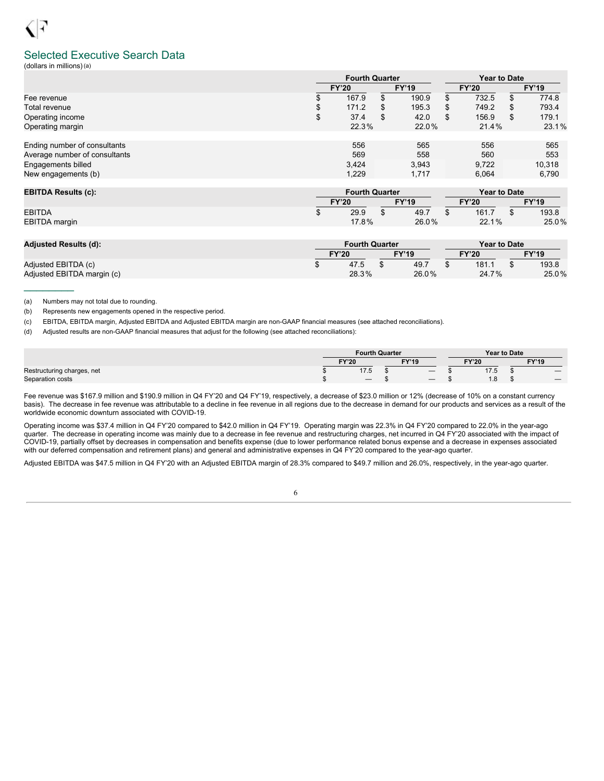## Selected Executive Search Data

(dollars in millions)(a)

|                               | <b>Fourth Quarter</b> |       |   |              |              | <b>Year to Date</b> |   |              |  |  |  |  |
|-------------------------------|-----------------------|-------|---|--------------|--------------|---------------------|---|--------------|--|--|--|--|
|                               | <b>FY'20</b>          |       |   | <b>FY'19</b> | <b>FY'20</b> |                     |   | <b>FY'19</b> |  |  |  |  |
| Fee revenue                   |                       | 167.9 |   | 190.9        |              | 732.5               |   | 774.8        |  |  |  |  |
| Total revenue                 | \$                    | 171.2 |   | 195.3        |              | 749.2               | S | 793.4        |  |  |  |  |
| Operating income              | \$                    | 37.4  | S | 42.0         | S            | 156.9               | S | 179.1        |  |  |  |  |
| Operating margin              |                       | 22.3% |   | 22.0%        |              | 21.4%               |   | 23.1%        |  |  |  |  |
|                               |                       |       |   |              |              |                     |   |              |  |  |  |  |
| Ending number of consultants  |                       | 556   |   | 565          |              | 556                 |   | 565          |  |  |  |  |
| Average number of consultants |                       | 569   |   | 558          |              | 560                 |   | 553          |  |  |  |  |
| Engagements billed            |                       | 3.424 |   | 3.943        |              | 9.722               |   | 10,318       |  |  |  |  |
| New engagements (b)           |                       | 1,229 |   | 1.717        |              | 6.064               |   | 6,790        |  |  |  |  |

| <b>EBITDA Results (c):</b> |              | <b>Fourth Quarter</b> |  |              | <b>Year to Date</b> |       |              |       |  |
|----------------------------|--------------|-----------------------|--|--------------|---------------------|-------|--------------|-------|--|
|                            | <b>FY'20</b> |                       |  | <b>FY'19</b> | <b>FY'20</b>        |       | <b>FY'19</b> |       |  |
| <b>EBITDA</b>              |              | 29.9                  |  | 49.7         |                     | 161.  |              | 193.8 |  |
| <b>EBITDA</b> margin       |              | 17.8%                 |  | 26.0%        |                     | 22.1% |              | 25.0% |  |

| <b>Adjusted Results (d):</b> |              | <b>Fourth Quarter</b> |  |              | <b>Year to Date</b> |              |       |  |  |
|------------------------------|--------------|-----------------------|--|--------------|---------------------|--------------|-------|--|--|
|                              | <b>FY'20</b> |                       |  | <b>FY'19</b> | <b>FY'20</b>        | <b>FY'19</b> |       |  |  |
| Adjusted EBITDA (c)          |              | 47.5                  |  | 49.7         | 181.                |              | 193.8 |  |  |
| Adjusted EBITDA margin (c)   |              | 28.3%                 |  | 26.0%        | 24.7%               |              | 25.0% |  |  |

(a) Numbers may not total due to rounding.

 $\frac{1}{2}$ 

(b) Represents new engagements opened in the respective period.

(c) EBITDA, EBITDA margin, Adjusted EBITDA and Adjusted EBITDA margin are non-GAAP financial measures (see attached reconciliations).

(d) Adjusted results are non-GAAP financial measures that adjust for the following (see attached reconciliations):

|                            |              | <b>Fourth Quarter</b>                   |              | <b>Year to Date</b>  |              |
|----------------------------|--------------|-----------------------------------------|--------------|----------------------|--------------|
|                            | <b>FY'20</b> |                                         | <b>FY'19</b> | $-Y'20$              | <b>FY'19</b> |
| Restructuring charges, net |              | 17.5                                    |              | 17 <sub>5</sub><br>r |              |
| Separation costs           |              | $\qquad \qquad \  \  \, -\qquad \qquad$ |              | ı.o                  |              |

Fee revenue was \$167.9 million and \$190.9 million in Q4 FY'20 and Q4 FY'19, respectively, a decrease of \$23.0 million or 12% (decrease of 10% on a constant currency basis). The decrease in fee revenue was attributable to a decline in fee revenue in all regions due to the decrease in demand for our products and services as a result of the worldwide economic downturn associated with COVID-19.

Operating income was \$37.4 million in Q4 FY'20 compared to \$42.0 million in Q4 FY'19. Operating margin was 22.3% in Q4 FY'20 compared to 22.0% in the year-ago quarter. The decrease in operating income was mainly due to a decrease in fee revenue and restructuring charges, net incurred in Q4 FY'20 associated with the impact of COVID-19, partially offset by decreases in compensation and benefits expense (due to lower performance related bonus expense and a decrease in expenses associated with our deferred compensation and retirement plans) and general and administrative expenses in Q4 FY'20 compared to the year-ago quarter.

Adjusted EBITDA was \$47.5 million in Q4 FY'20 with an Adjusted EBITDA margin of 28.3% compared to \$49.7 million and 26.0%, respectively, in the year-ago quarter.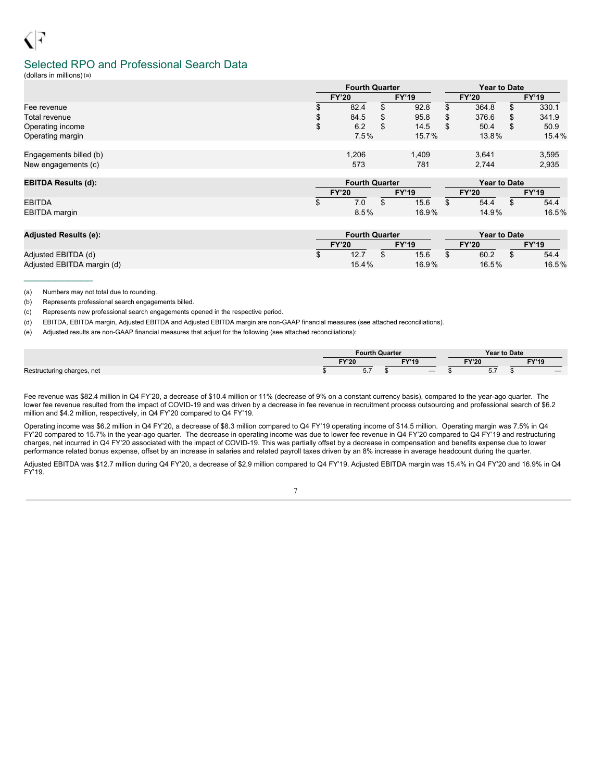## Selected RPO and Professional Search Data

(dollars in millions)(a)

|                        | <b>Fourth Quarter</b>        |   |       | <b>Year to Date</b> |              |   |              |  |  |  |
|------------------------|------------------------------|---|-------|---------------------|--------------|---|--------------|--|--|--|
|                        | <b>FY'19</b><br><b>FY'20</b> |   |       |                     | <b>FY'20</b> |   | <b>FY'19</b> |  |  |  |
| Fee revenue            | 82.4                         |   | 92.8  |                     | 364.8        |   | 330.1        |  |  |  |
| Total revenue          | \$<br>84.5                   | จ | 95.8  | \$                  | 376.6        | S | 341.9        |  |  |  |
| Operating income       | \$<br>6.2                    | J | 14.5  | S                   | 50.4         | S | 50.9         |  |  |  |
| Operating margin       | 7.5%                         |   | 15.7% |                     | 13.8%        |   | 15.4%        |  |  |  |
|                        |                              |   |       |                     |              |   |              |  |  |  |
| Engagements billed (b) | 1.206                        |   | 1.409 |                     | 3,641        |   | 3,595        |  |  |  |
| New engagements (c)    | 573                          |   | 781   |                     | 2,744        |   | 2,935        |  |  |  |

| <b>EBITDA Results (d):</b> |              | <b>Fourth Quarter</b> |              | Year to Date |              |
|----------------------------|--------------|-----------------------|--------------|--------------|--------------|
|                            | <b>FY'20</b> |                       | <b>FY'19</b> | <b>FY'20</b> | <b>FY'19</b> |
| EBITDA                     |              | 7.0                   | 15.6         | 54.4         | 54.4         |
| <b>EBITDA</b> margin       |              | 8.5%                  | 16.9%        | 14.9%        | 16.5%        |

| <b>Adjusted Results (e):</b> |              | <b>Fourth Quarter</b> |              | <b>Year to Date</b> |       |  |              |
|------------------------------|--------------|-----------------------|--------------|---------------------|-------|--|--------------|
|                              | <b>FY'20</b> |                       | <b>FY'19</b> |                     | Y'20  |  | <b>FY'19</b> |
| Adjusted EBITDA (d)          |              | 12.7                  | 15.6         |                     | 60.2  |  | 54.4         |
| Adjusted EBITDA margin (d)   |              | 15.4%                 | 16.9%        |                     | 16.5% |  | 16.5%        |

(a) Numbers may not total due to rounding.

 $\frac{1}{2}$  ,  $\frac{1}{2}$  ,  $\frac{1}{2}$  ,  $\frac{1}{2}$  ,  $\frac{1}{2}$  ,  $\frac{1}{2}$  ,  $\frac{1}{2}$ 

(b) Represents professional search engagements billed.

(c) Represents new professional search engagements opened in the respective period.

(d) EBITDA, EBITDA margin, Adjusted EBITDA and Adjusted EBITDA margin are non-GAAP financial measures (see attached reconciliations).

(e) Adjusted results are non-GAAP financial measures that adjust for the following (see attached reconciliations):

|                            | Fourth Quarter  |               |  |              | <b>Year to Date</b>       |                      |
|----------------------------|-----------------|---------------|--|--------------|---------------------------|----------------------|
|                            | <b>FY'20</b>    | EV'10<br>- 19 |  | <b>FY'20</b> |                           | <b>EV'19</b><br>- 19 |
| Restructuring charges, net | - -<br>$\cup$ . |               |  |              | $ -$<br>$\cup$ . $\prime$ |                      |

Fee revenue was \$82.4 million in Q4 FY'20, a decrease of \$10.4 million or 11% (decrease of 9% on a constant currency basis), compared to the year-ago quarter. The lower fee revenue resulted from the impact of COVID-19 and was driven by a decrease in fee revenue in recruitment process outsourcing and professional search of \$6.2 million and \$4.2 million, respectively, in Q4 FY'20 compared to Q4 FY'19.

Operating income was \$6.2 million in Q4 FY'20, a decrease of \$8.3 million compared to Q4 FY'19 operating income of \$14.5 million. Operating margin was 7.5% in Q4 FY'20 compared to 15.7% in the year-ago quarter. The decrease in operating income was due to lower fee revenue in Q4 FY'20 compared to Q4 FY'19 and restructuring charges, net incurred in Q4 FY'20 associated with the impact of COVID-19. This was partially offset by a decrease in compensation and benefits expense due to lower performance related bonus expense, offset by an increase in salaries and related payroll taxes driven by an 8% increase in average headcount during the quarter.

Adjusted EBITDA was \$12.7 million during Q4 FY'20, a decrease of \$2.9 million compared to Q4 FY'19. Adjusted EBITDA margin was 15.4% in Q4 FY'20 and 16.9% in Q4 FY'19.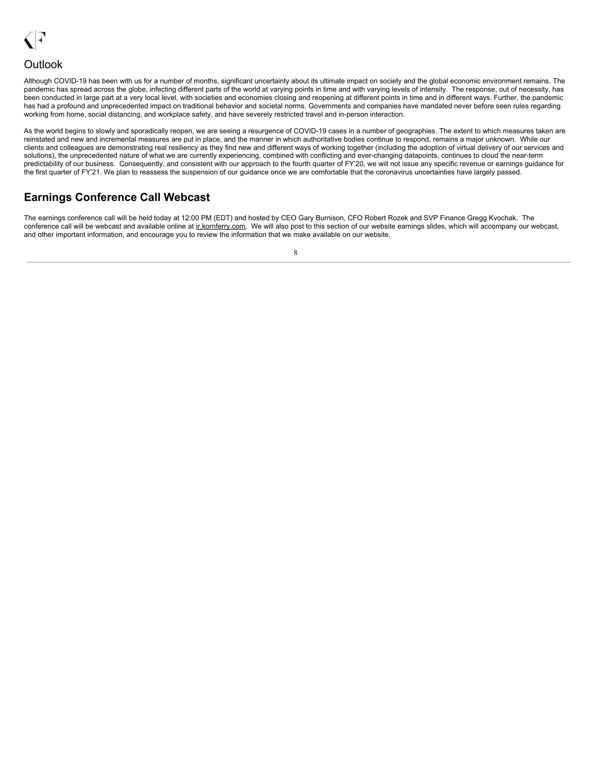

## **Outlook**

Although COVID-19 has been with us for a number of months, significant uncertainty about its ultimate impact on society and the global economic environment remains. The pandemic has spread across the globe, infecting different parts of the world at varying points in time and with varying levels of intensity. The response, out of necessity, has been conducted in large part at a very local level, with societies and economies closing and reopening at different points in time and in different ways. Further, the pandemic has had a profound and unprecedented impact on traditional behavior and societal norms. Governments and companies have mandated never before seen rules regarding working from home, social distancing, and workplace safety, and have severely restricted travel and in-person interaction.

As the world begins to slowly and sporadically reopen, we are seeing a resurgence of COVID-19 cases in a number of geographies. The extent to which measures taken are reinstated and new and incremental measures are put in place, and the manner in which authoritative bodies continue to respond, remains a major unknown. While our clients and colleagues are demonstrating real resiliency as they find new and different ways of working together (including the adoption of virtual delivery of our services and solutions), the unprecedented nature of what we are currently experiencing, combined with conflicting and ever-changing datapoints, continues to cloud the near-term predictability of our business. Consequently, and consistent with our approach to the fourth quarter of FY'20, we will not issue any specific revenue or earnings guidance for the first quarter of FY'21. We plan to reassess the suspension of our guidance once we are comfortable that the coronavirus uncertainties have largely passed.

## **Earnings Conference Call Webcast**

The earnings conference call will be held today at 12:00 PM (EDT) and hosted by CEO Gary Burnison, CFO Robert Rozek and SVP Finance Gregg Kvochak. The conference call will be webcast and available online at ir.kornferry.com. We will also post to this section of our website earnings slides, which will accompany our webcast, and other important information, and encourage you to review the information that we make available on our website.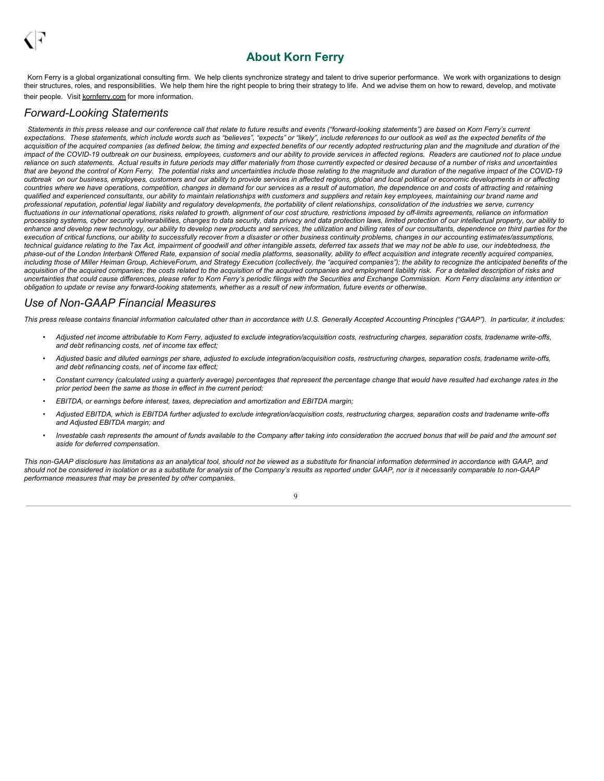## <span id="page-11-0"></span>**About Korn Ferry**

Korn Ferry is a global organizational consulting firm. We help clients synchronize strategy and talent to drive superior performance. We work with organizations to design their structures, roles, and responsibilities. We help them hire the right people to bring their strategy to life. And we advise them on how to reward, develop, and motivate their people. Visit kornferry.com for more information.

## *Forward-Looking Statements*

Statements in this press release and our conference call that relate to future results and events ("forward-looking statements") are based on Korn Ferry's current expectations. These statements, which include words such as "believes", "expects" or "likely", include references to our outlook as well as the expected benefits of the acquisition of the acquired companies (as defined below, the timing and expected benefits of our recently adopted restructuring plan and the magnitude and duration of the impact of the COVID-19 outbreak on our business, employees, customers and our ability to provide services in affected regions. Readers are cautioned not to place undue reliance on such statements. Actual results in future periods may differ materially from those currently expected or desired because of a number of risks and uncertainties that are beyond the control of Korn Ferry. The potential risks and uncertainties include those relating to the magnitude and duration of the negative impact of the COVID-19 outbreak on our business, employees, customers and our ability to provide services in affected regions, global and local political or economic developments in or affecting countries where we have operations, competition, changes in demand for our services as a result of automation, the dependence on and costs of attracting and retaining qualified and experienced consultants, our ability to maintain relationships with customers and suppliers and retain key employees, maintaining our brand name and professional reputation, potential legal liability and regulatory developments, the portability of client relationships, consolidation of the industries we serve, currency fluctuations in our international operations, risks related to growth, alignment of our cost structure, restrictions imposed by off-limits agreements, reliance on information processing systems, cyber security vulnerabilities, changes to data security, data privacy and data protection laws, limited protection of our intellectual property, our ability to enhance and develop new technology, our ability to develop new products and services, the utilization and billing rates of our consultants, dependence on third parties for the execution of critical functions, our ability to successfully recover from a disaster or other business continuity problems, changes in our accounting estimates/assumptions, technical guidance relating to the Tax Act, impairment of goodwill and other intangible assets, deferred tax assets that we may not be able to use, our indebtedness, the phase-out of the London Interbank Offered Rate, expansion of social media platforms, seasonality, ability to effect acquisition and integrate recently acquired companies, including those of Miller Heiman Group, AchieveForum, and Strategy Execution (collectively, the "acquired companies"); the ability to recognize the anticipated benefits of the acquisition of the acquired companies; the costs related to the acquisition of the acquired companies and employment liability risk. For a detailed description of risks and uncertainties that could cause differences, please refer to Korn Ferry's periodic filings with the Securities and Exchange Commission. Korn Ferry disclaims any intention or obligation to update or revise any forward-looking statements, whether as a result of new information, future events or otherwise.

## *Use of Non-GAAP Financial Measures*

This press release contains financial information calculated other than in accordance with U.S. Generally Accepted Accounting Principles ("GAAP"). In particular, it includes:

- Adjusted net income attributable to Korn Ferry, adjusted to exclude integration/acquisition costs, restructuring charges, separation costs, tradename write-offs, *and debt refinancing costs, net of income tax effect;*
- Adjusted basic and diluted earnings per share, adjusted to exclude integration/acquisition costs, restructuring charges, separation costs, tradename write-offs, *and debt refinancing costs, net of income tax effect;*
- Constant currency (calculated using a quarterly average) percentages that represent the percentage change that would have resulted had exchange rates in the *prior period been the same as those in effect in the current period;*
- *• EBITDA, or earnings before interest, taxes, depreciation and amortization and EBITDA margin;*
- Adjusted EBITDA, which is EBITDA further adjusted to exclude integration/acquisition costs, restructuring charges, separation costs and tradename write-offs *and Adjusted EBITDA margin; and*
- Investable cash represents the amount of funds available to the Company after taking into consideration the accrued bonus that will be paid and the amount set *aside for deferred compensation.*

This non-GAAP disclosure has limitations as an analytical tool, should not be viewed as a substitute for financial information determined in accordance with GAAP, and should not be considered in isolation or as a substitute for analysis of the Company's results as reported under GAAP, nor is it necessarily comparable to non-GAAP *performance measures that may be presented by other companies.*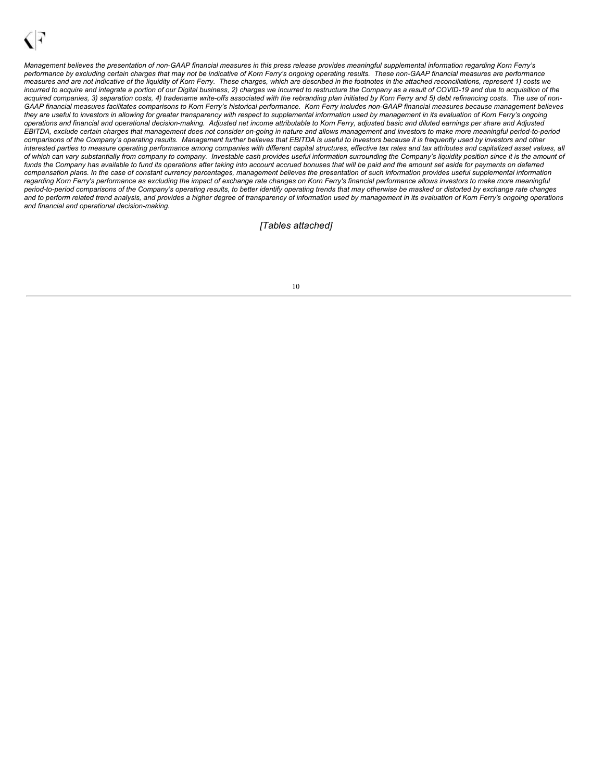Management believes the presentation of non-GAAP financial measures in this press release provides meaningful supplemental information regarding Korn Ferry's performance by excluding certain charges that may not be indicative of Korn Ferry's ongoing operating results. These non-GAAP financial measures are performance measures and are not indicative of the liquidity of Korn Ferry. These charges, which are described in the footnotes in the attached reconciliations, represent 1) costs we incurred to acquire and integrate a portion of our Digital business, 2) charges we incurred to restructure the Company as a result of COVID-19 and due to acquisition of the acquired companies, 3) separation costs, 4) tradename write-offs associated with the rebranding plan initiated by Korn Ferry and 5) debt refinancing costs. The use of non-GAAP financial measures facilitates comparisons to Korn Ferry's historical performance. Korn Ferry includes non-GAAP financial measures because management believes they are useful to investors in allowing for greater transparency with respect to supplemental information used by management in its evaluation of Korn Ferry's ongoing operations and financial and operational decision-making. Adjusted net income attributable to Korn Ferry, adjusted basic and diluted earnings per share and Adjusted EBITDA, exclude certain charges that management does not consider on-going in nature and allows management and investors to make more meaningful period-to-period comparisons of the Company's operating results. Management further believes that EBITDA is useful to investors because it is frequently used by investors and other interested parties to measure operating performance among companies with different capital structures, effective tax rates and tax attributes and capitalized asset values, all of which can vary substantially from company to company. Investable cash provides useful information surrounding the Company's liquidity position since it is the amount of funds the Company has available to fund its operations after taking into account accrued bonuses that will be paid and the amount set aside for payments on deferred compensation plans. In the case of constant currency percentages, management believes the presentation of such information provides useful supplemental information regarding Korn Ferry's performance as excluding the impact of exchange rate changes on Korn Ferry's financial performance allows investors to make more meaningful period-to-period comparisons of the Company's operating results, to better identify operating trends that may otherwise be masked or distorted by exchange rate changes and to perform related trend analysis, and provides a higher degree of transparency of information used by management in its evaluation of Korn Ferry's ongoing operations *and financial and operational decision-making.*

### *[Tables attached]*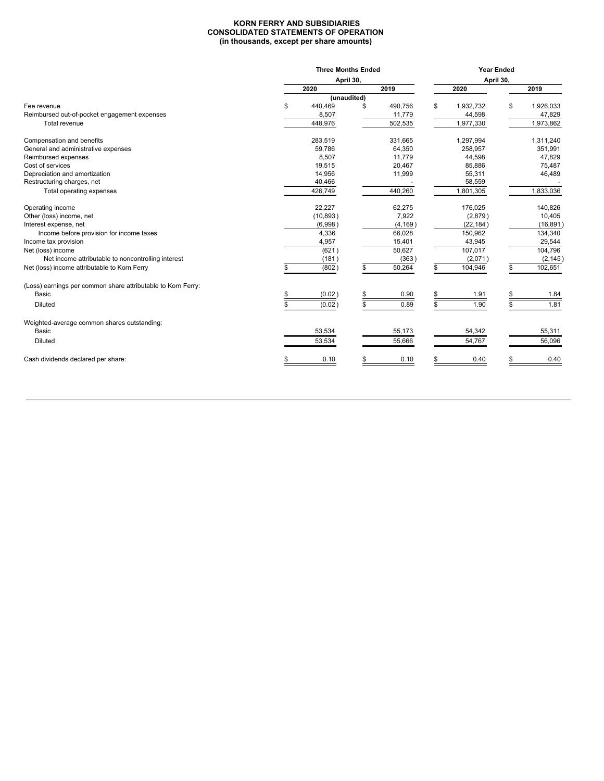#### **KORN FERRY AND SUBSIDIARIES CONSOLIDATED STATEMENTS OF OPERATION (in thousands, except per share amounts)**

| 2020<br>1,932,732<br>\$<br>44,598 | April 30,<br>2019 |
|-----------------------------------|-------------------|
|                                   |                   |
|                                   |                   |
|                                   |                   |
|                                   | 1,926,033<br>\$   |
|                                   | 47,829            |
| 1,977,330                         | 1,973,862         |
| 1,297,994                         | 1,311,240         |
| 258,957                           | 351,991           |
| 44,598                            | 47,829            |
| 85,886                            | 75,487            |
| 55,311                            | 46,489            |
| 58,559                            |                   |
| 1,801,305                         | 1,833,036         |
| 176,025                           | 140,826           |
| (2,879)                           | 10,405            |
| (22, 184)                         | (16, 891)         |
| 150,962                           | 134,340           |
| 43,945                            | 29,544            |
| 107,017                           | 104,796           |
| (2,071)                           | (2, 145)          |
| 104,946                           | 102,651           |
|                                   |                   |
| 1.91                              | 1.84              |
| 1.90                              | 1.81              |
|                                   |                   |
|                                   | 55,311            |
|                                   | 56,096            |
|                                   |                   |
|                                   | 54,342<br>54,767  |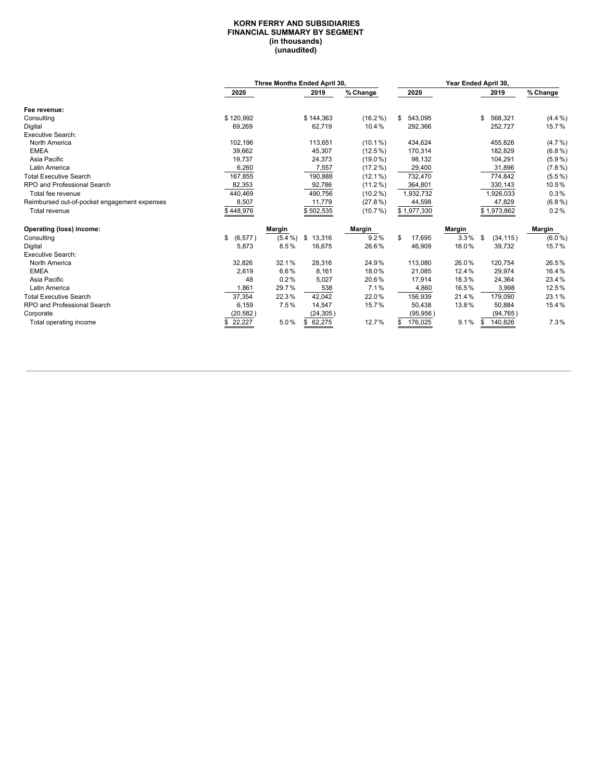#### **KORN FERRY AND SUBSIDIARIES FINANCIAL SUMMARY BY SEGMENT (in thousands) (unaudited)**

|                                              |                |           | Three Months Ended April 30, |            | Year Ended April 30, |               |                 |               |  |  |  |
|----------------------------------------------|----------------|-----------|------------------------------|------------|----------------------|---------------|-----------------|---------------|--|--|--|
|                                              | 2020           |           | 2019                         | % Change   | 2020                 |               | 2019            | % Change      |  |  |  |
| Fee revenue:                                 |                |           |                              |            |                      |               |                 |               |  |  |  |
| Consulting                                   | \$120,992      |           | \$144,363                    | $(16.2\%)$ | 543,095<br>\$        |               | \$<br>568,321   | $(4.4\%)$     |  |  |  |
| Digital                                      | 69,269         |           | 62,719                       | 10.4%      | 292,366              |               | 252,727         | 15.7%         |  |  |  |
| <b>Executive Search:</b>                     |                |           |                              |            |                      |               |                 |               |  |  |  |
| North America                                | 102,196        |           | 113,651                      | $(10.1\%)$ | 434,624              |               | 455,826         | $(4.7\%)$     |  |  |  |
| <b>EMEA</b>                                  | 39,662         |           | 45,307                       | $(12.5\%)$ | 170,314              |               | 182,829         | $(6.8\%)$     |  |  |  |
| Asia Pacific                                 | 19,737         |           | 24,373                       | $(19.0\%)$ | 98,132               |               | 104,291         | $(5.9\%)$     |  |  |  |
| Latin America                                | 6,260          |           | 7,557                        | $(17.2\%)$ | 29,400               |               | 31,896          | $(7.8\%)$     |  |  |  |
| <b>Total Executive Search</b>                | 167,855        |           | 190,888                      | $(12.1\%)$ | 732,470              |               | 774,842         | $(5.5\%)$     |  |  |  |
| RPO and Professional Search                  | 82,353         |           | 92,786                       | $(11.2\%)$ | 364,801              |               | 330,143         | 10.5%         |  |  |  |
| Total fee revenue                            | 440,469        |           | 490,756                      | $(10.2\%)$ | 1,932,732            |               | 1,926,033       | 0.3%          |  |  |  |
| Reimbursed out-of-pocket engagement expenses | 8,507          |           | 11,779                       | $(27.8\%)$ | 44,598               |               | 47,829          | $(6.8\%)$     |  |  |  |
| Total revenue                                | \$448,976      |           | \$502,535                    | $(10.7\%)$ | \$1,977,330          |               | \$1,973,862     | 0.2%          |  |  |  |
| Operating (loss) income:                     |                | Margin    |                              | Margin     |                      | <b>Margin</b> |                 | <b>Margin</b> |  |  |  |
| Consulting                                   | \$<br>(6, 577) | $(5.4\%)$ | \$<br>13,316                 | 9.2%       | \$<br>17.695         | 3.3%          | \$<br>(34, 115) | $(6.0\%)$     |  |  |  |
| Digital                                      | 5,873          | 8.5%      | 16,675                       | 26.6%      | 46,909               | 16.0%         | 39,732          | 15.7%         |  |  |  |
| <b>Executive Search:</b>                     |                |           |                              |            |                      |               |                 |               |  |  |  |
| North America                                | 32,826         | 32.1%     | 28,316                       | 24.9%      | 113,080              | 26.0%         | 120,754         | 26.5%         |  |  |  |
| <b>EMEA</b>                                  | 2,619          | 6.6%      | 8,161                        | 18.0%      | 21,085               | 12.4%         | 29,974          | 16.4%         |  |  |  |
| Asia Pacific                                 | 48             | 0.2%      | 5,027                        | 20.6%      | 17,914               | 18.3%         | 24,364          | 23.4%         |  |  |  |
| Latin America                                | 1,861          | 29.7%     | 538                          | 7.1%       | 4,860                | 16.5%         | 3,998           | 12.5%         |  |  |  |
| <b>Total Executive Search</b>                | 37,354         | 22.3%     | 42,042                       | 22.0%      | 156,939              | 21.4%         | 179,090         | 23.1%         |  |  |  |
| RPO and Professional Search                  | 6.159          | 7.5%      | 14,547                       | 15.7%      | 50,438               | 13.8%         | 50,884          | 15.4%         |  |  |  |
| Corporate                                    | (20, 582)      |           | (24, 305)                    |            | (95, 956)            |               | (94, 765)       |               |  |  |  |
| Total operating income                       | 22,227         | 5.0%      | 62,275<br>\$                 | 12.7%      | 176,025              | 9.1%          | \$<br>140,826   | 7.3%          |  |  |  |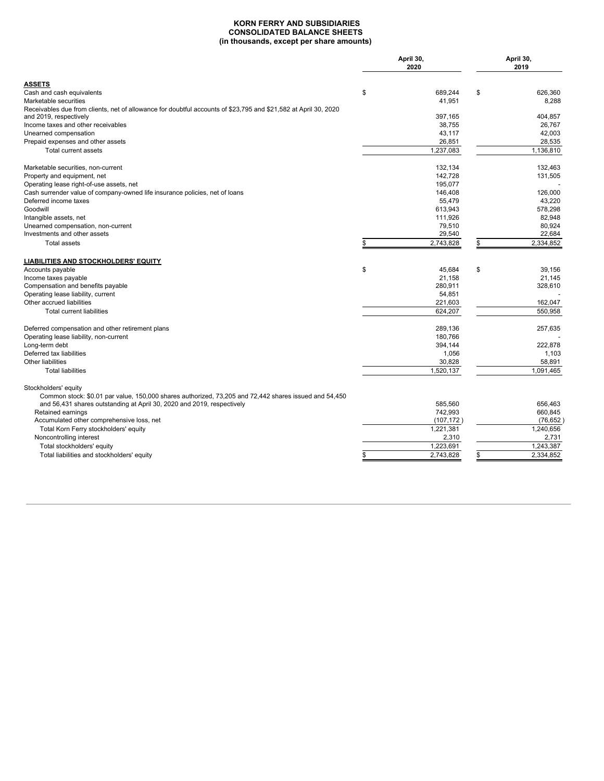#### **KORN FERRY AND SUBSIDIARIES CONSOLIDATED BALANCE SHEETS (in thousands, except per share amounts)**

|                                                                                                                                           | April 30,<br>2020 | April 30,<br>2019 |
|-------------------------------------------------------------------------------------------------------------------------------------------|-------------------|-------------------|
| <b>ASSETS</b>                                                                                                                             |                   |                   |
| Cash and cash equivalents                                                                                                                 | \$<br>689.244     | \$<br>626.360     |
| Marketable securities                                                                                                                     | 41,951            | 8,288             |
| Receivables due from clients, net of allowance for doubtful accounts of \$23,795 and \$21,582 at April 30, 2020<br>and 2019, respectively | 397.165           | 404.857           |
| Income taxes and other receivables                                                                                                        | 38,755            | 26.767            |
| Unearned compensation                                                                                                                     | 43.117            | 42.003            |
| Prepaid expenses and other assets                                                                                                         | 26.851            | 28.535            |
| Total current assets                                                                                                                      | 1,237,083         | 1,136,810         |
| Marketable securities, non-current                                                                                                        | 132,134           | 132.463           |
| Property and equipment, net                                                                                                               | 142.728           | 131.505           |
| Operating lease right-of-use assets, net                                                                                                  | 195,077           |                   |
| Cash surrender value of company-owned life insurance policies, net of loans                                                               | 146,408           | 126,000           |
| Deferred income taxes                                                                                                                     | 55.479            | 43.220            |
| Goodwill                                                                                                                                  | 613,943           | 578,298           |
| Intangible assets, net                                                                                                                    | 111,926           | 82,948            |
| Unearned compensation, non-current                                                                                                        | 79.510            | 80.924            |
| Investments and other assets                                                                                                              | 29,540            | 22,684            |
| <b>Total assets</b>                                                                                                                       | \$<br>2,743,828   | 2,334,852         |
| <b>LIABILITIES AND STOCKHOLDERS' EQUITY</b>                                                                                               |                   |                   |
| Accounts payable                                                                                                                          | \$<br>45.684      | \$<br>39.156      |
| Income taxes payable                                                                                                                      | 21,158            | 21.145            |
| Compensation and benefits payable                                                                                                         | 280,911           | 328,610           |
| Operating lease liability, current                                                                                                        | 54,851            |                   |
| Other accrued liabilities                                                                                                                 | 221,603           | 162,047           |
| <b>Total current liabilities</b>                                                                                                          | 624,207           | 550,958           |
| Deferred compensation and other retirement plans                                                                                          | 289.136           | 257,635           |
| Operating lease liability, non-current                                                                                                    | 180,766           |                   |
| Long-term debt                                                                                                                            | 394,144           | 222.878           |
| Deferred tax liabilities                                                                                                                  | 1,056             | 1,103             |
| Other liabilities                                                                                                                         | 30,828            | 58,891            |
| <b>Total liabilities</b>                                                                                                                  | 1,520,137         | 1,091,465         |
| Stockholders' equity                                                                                                                      |                   |                   |
| Common stock: \$0.01 par value, 150,000 shares authorized, 73,205 and 72,442 shares issued and 54,450                                     |                   |                   |
| and 56,431 shares outstanding at April 30, 2020 and 2019, respectively                                                                    | 585,560           | 656,463           |
| Retained earnings                                                                                                                         | 742.993           | 660.845           |
| Accumulated other comprehensive loss, net                                                                                                 | (107, 172)        | (76,652)          |
| Total Korn Ferry stockholders' equity                                                                                                     | 1,221,381         | 1,240,656         |
| Noncontrolling interest                                                                                                                   | 2,310             | 2,731             |
| Total stockholders' equity                                                                                                                | 1,223,691         | 1,243,387         |
| Total liabilities and stockholders' equity                                                                                                | 2,743,828         | 2,334,852         |
|                                                                                                                                           |                   |                   |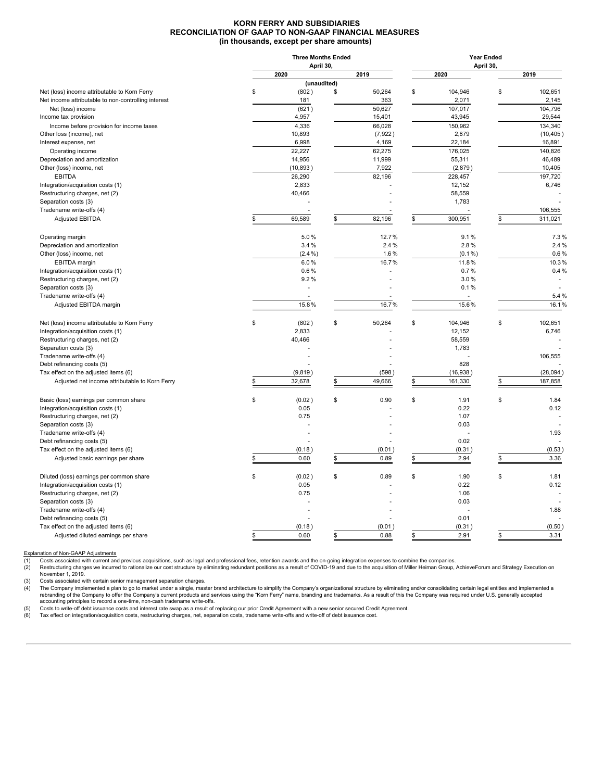#### **KORN FERRY AND SUBSIDIARIES RECONCILIATION OF GAAP TO NON-GAAP FINANCIAL MEASURES (in thousands, except per share amounts)**

|                                                     | <b>Three Months Ended</b> |                | <b>Year Ended</b><br>April 30, |                      |    |                |  |  |  |
|-----------------------------------------------------|---------------------------|----------------|--------------------------------|----------------------|----|----------------|--|--|--|
|                                                     | April 30,<br>2020         | 2019           |                                | 2020                 |    | 2019           |  |  |  |
|                                                     | (unaudited)               |                |                                |                      |    |                |  |  |  |
| Net (loss) income attributable to Korn Ferry        | \$<br>(802)<br>\$         | 50,264         | \$                             | 104,946              | \$ | 102,651        |  |  |  |
| Net income attributable to non-controlling interest | 181                       | 363            |                                | 2,071                |    | 2,145          |  |  |  |
| Net (loss) income                                   | (621)                     | 50,627         |                                | 107,017              |    | 104,796        |  |  |  |
| Income tax provision                                | 4,957                     | 15,401         |                                | 43,945               |    | 29,544         |  |  |  |
| Income before provision for income taxes            | 4,336                     | 66,028         |                                | 150,962              |    | 134,340        |  |  |  |
| Other loss (income), net                            | 10,893                    | (7, 922)       |                                | 2,879                |    | (10, 405)      |  |  |  |
| Interest expense, net                               | 6,998                     | 4,169          |                                | 22,184               |    | 16,891         |  |  |  |
| Operating income                                    | 22,227                    | 62,275         |                                | 176,025              |    | 140,826        |  |  |  |
| Depreciation and amortization                       | 14,956                    | 11,999         |                                | 55,311               |    | 46,489         |  |  |  |
| Other (loss) income, net                            | (10, 893)                 | 7,922          |                                | (2,879)              |    | 10,405         |  |  |  |
| <b>EBITDA</b>                                       | 26,290                    | 82,196         |                                | 228,457              |    | 197,720        |  |  |  |
| Integration/acquisition costs (1)                   | 2,833                     |                |                                | 12,152               |    | 6,746          |  |  |  |
| Restructuring charges, net (2)                      | 40,466                    |                |                                | 58,559               |    |                |  |  |  |
| Separation costs (3)                                |                           |                |                                | 1,783                |    |                |  |  |  |
| Tradename write-offs (4)                            |                           |                |                                |                      |    | 106,555        |  |  |  |
| Adjusted EBITDA                                     | 69,589                    | 82,196         |                                | 300,951              | \$ | 311,021        |  |  |  |
| Operating margin                                    | 5.0%                      | 12.7%          |                                | 9.1%                 |    | 7.3%           |  |  |  |
| Depreciation and amortization                       | 3.4%                      | 2.4%           |                                | 2.8%                 |    | 2.4%           |  |  |  |
| Other (loss) income, net                            | $(2.4\%)$                 | 1.6%           |                                | $(0.1\%)$            |    | 0.6%           |  |  |  |
| EBITDA margin                                       | 6.0%                      | 16.7%          |                                | 11.8%                |    | 10.3%          |  |  |  |
| Integration/acquisition costs (1)                   | 0.6%                      |                |                                | 0.7%                 |    | 0.4%           |  |  |  |
| Restructuring charges, net (2)                      | 9.2%                      |                |                                | 3.0%                 |    | $\overline{a}$ |  |  |  |
| Separation costs (3)                                | ÷                         | $\overline{a}$ |                                | 0.1%                 |    |                |  |  |  |
| Tradename write-offs (4)                            | $\ddot{\phantom{1}}$      |                |                                | $\ddot{\phantom{1}}$ |    | 5.4%           |  |  |  |
| Adjusted EBITDA margin                              | 15.8%                     | 16.7%          |                                | 15.6%                |    | 16.1%          |  |  |  |
| Net (loss) income attributable to Korn Ferry        | \$<br>(802)<br>\$         | 50,264         | \$                             | 104,946              | \$ | 102,651        |  |  |  |
| Integration/acquisition costs (1)                   | 2,833                     |                |                                | 12,152               |    | 6,746          |  |  |  |
| Restructuring charges, net (2)                      | 40,466                    |                |                                | 58,559               |    |                |  |  |  |
| Separation costs (3)                                |                           |                |                                | 1,783                |    |                |  |  |  |
| Tradename write-offs (4)                            |                           |                |                                |                      |    | 106,555        |  |  |  |
| Debt refinancing costs (5)                          |                           |                |                                | 828                  |    |                |  |  |  |
| Tax effect on the adjusted items (6)                | (9,819)                   | (598)          |                                | (16, 938)            |    | (28,094)       |  |  |  |
| Adjusted net income attributable to Korn Ferry      | 32,678                    | 49,666         |                                | 161,330              | \$ | 187,858        |  |  |  |
| Basic (loss) earnings per common share              | \$<br>(0.02)<br>\$        | 0.90           | \$                             | 1.91                 | \$ | 1.84           |  |  |  |
| Integration/acquisition costs (1)                   | 0.05                      |                |                                | 0.22                 |    | 0.12           |  |  |  |
| Restructuring charges, net (2)                      | 0.75                      |                |                                | 1.07                 |    |                |  |  |  |
| Separation costs (3)                                |                           |                |                                | 0.03                 |    |                |  |  |  |
| Tradename write-offs (4)                            |                           |                |                                |                      |    | 1.93           |  |  |  |
| Debt refinancing costs (5)                          |                           |                |                                | 0.02                 |    |                |  |  |  |
| Tax effect on the adjusted items (6)                | (0.18)                    | (0.01)         |                                | (0.31)               |    | (0.53)         |  |  |  |
| Adjusted basic earnings per share                   | 0.60                      | 0.89           | S                              | 2.94                 | \$ | 3.36           |  |  |  |
|                                                     |                           |                |                                |                      |    |                |  |  |  |
| Diluted (loss) earnings per common share            | \$<br>\$<br>(0.02)        | 0.89           | \$                             | 1.90                 | \$ | 1.81           |  |  |  |
| Integration/acquisition costs (1)                   | 0.05                      |                |                                | 0.22                 |    | 0.12           |  |  |  |
| Restructuring charges, net (2)                      | 0.75                      |                |                                | 1.06                 |    |                |  |  |  |
| Separation costs (3)                                |                           |                |                                | 0.03                 |    |                |  |  |  |
| Tradename write-offs (4)                            |                           |                |                                |                      |    | 1.88           |  |  |  |
| Debt refinancing costs (5)                          |                           |                |                                | 0.01                 |    |                |  |  |  |
| Tax effect on the adjusted items (6)                | (0.18)                    | (0.01)         |                                | (0.31)               |    | (0.50)         |  |  |  |
| Adjusted diluted earnings per share                 | 0.60<br>\$                | 0.88           |                                | 2.91                 | \$ | 3.31           |  |  |  |

Explanation of Non-GAAP Adjustments<br>(1) Costs associated with current and previous acquisitions, such as legal and professional fees, retention awards and the on-going integration expenses to combine the companies.

(2) Restructuring charges we incurred to rationalize our cost structure by eliminating redundant positions as a result of COVID-19 and due to the acquisition of Miller Heiman Group, AchieveForum and Strategy Execution on November 1, 2019.

(3) Costs associated with certain senior management separation charges.

(4) The Company implemented a plan to go to market under a single, master brand architecture to simplify the Company's organizational structure by eliminating and/or consolidating certain legal entities and implemented a rebranding of the Company to offer the Company's current products and services using the "Korn Ferry" name, branding and trademarks. As a result of this the Company was required under U.S. generally accepted<br>accounting pri

(5) Costs to write-off debt issuance costs and interest rate swap as a result of replacing our prior Credit Agreement with a new senior secured Credit Agreement.

(6) Tax effect on integration/acquisition costs, restructuring charges, net, separation costs, tradename write-offs and write-off of debt issuance cost.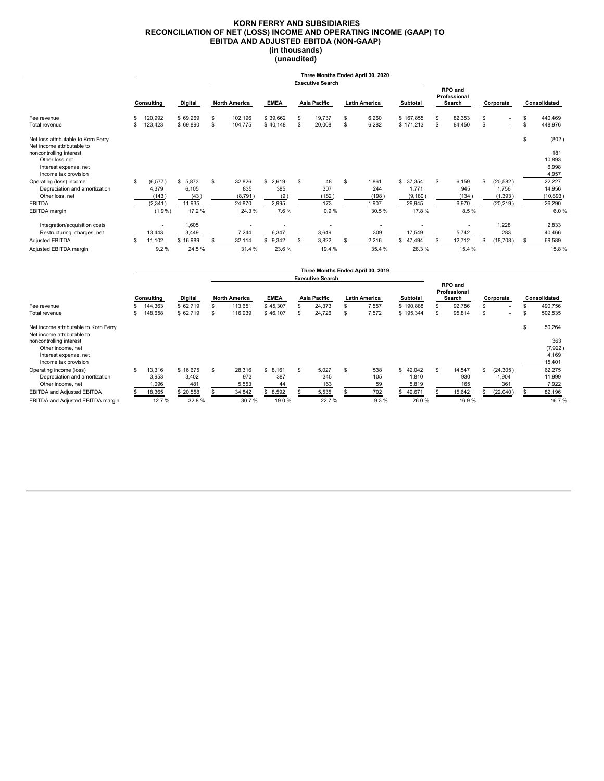#### **KORN FERRY AND SUBSIDIARIES RECONCILIATION OF NET (LOSS) INCOME AND OPERATING INCOME (GAAP) TO EBITDA AND ADJUSTED EBITDA (NON-GAAP) (in thousands) (unaudited)**

|                                                                                                                                                                 |                                 |                                     |    |                           |                           |    |                          |                     | Three Months Ended April 30, 2020 |                                   |                             |                                                       |                                |    |                                          |
|-----------------------------------------------------------------------------------------------------------------------------------------------------------------|---------------------------------|-------------------------------------|----|---------------------------|---------------------------|----|--------------------------|---------------------|-----------------------------------|-----------------------------------|-----------------------------|-------------------------------------------------------|--------------------------------|----|------------------------------------------|
|                                                                                                                                                                 |                                 |                                     |    |                           |                           |    | <b>Executive Search</b>  |                     |                                   |                                   |                             |                                                       |                                |    |                                          |
|                                                                                                                                                                 | Consulting                      | Digital                             |    | <b>North America</b>      | <b>EMEA</b>               |    |                          | <b>Asia Pacific</b> |                                   | <b>Latin America</b>              | Subtotal                    | <b>RPO</b> and<br>Professional<br>Search<br>Corporate |                                |    | Consolidated                             |
| Fee revenue                                                                                                                                                     | \$<br>120,992                   | \$69.269                            | S  | 102,196                   | \$39.662                  | \$ | 19,737                   | \$                  | 6,260                             | \$167.855                         | \$<br>82,353                | \$                                                    | $\overline{\phantom{a}}$       | s  | 440.469                                  |
| Total revenue                                                                                                                                                   | \$<br>123,423                   | \$69,890                            | \$ | 104,775                   | \$40,148                  | \$ | 20,008                   | \$                  | 6,282                             | \$171,213                         | \$<br>84,450                | \$                                                    | $\overline{\phantom{a}}$       | s  | 448,976                                  |
| Net loss attributable to Korn Ferry<br>Net income attributable to<br>noncontrolling interest<br>Other loss net<br>Interest expense, net<br>Income tax provision |                                 |                                     |    |                           |                           |    |                          |                     |                                   |                                   |                             |                                                       |                                | \$ | (802)<br>181<br>10,893<br>6,998<br>4,957 |
| Operating (loss) income<br>Depreciation and amortization<br>Other loss, net                                                                                     | \$<br>(6,577)<br>4.379<br>(143) | \$5.873<br>6,105<br>(43)            | s  | 32,826<br>835<br>(8,791)  | \$2.619<br>385<br>(9)     | \$ | 48<br>307<br>(182)       | \$                  | 1,861<br>244<br>(198)             | Ŝ.<br>37,354<br>1,771<br>(9, 180) | \$<br>6,159<br>945<br>(134) | \$                                                    | (20, 582)<br>1.756<br>(1, 393) |    | 22,227<br>14,956<br>(10, 893)            |
| <b>EBITDA</b>                                                                                                                                                   | (2, 341)                        | 11,935                              |    | 24,870                    | 2,995                     |    | 173                      |                     | 1,907                             | 29,945                            | 6,970                       |                                                       | (20, 219)                      |    | 26,290                                   |
| EBITDA margin                                                                                                                                                   | $(1.9\%)$                       | 17.2%                               |    | 24.3%                     | 7.6%                      |    | 0.9%                     |                     | 30.5%                             | 17.8%                             | 8.5%                        |                                                       |                                |    | 6.0%                                     |
| Integration/acquisition costs<br>Restructuring, charges, net<br>Adjusted EBITDA<br>Adjusted EBITDA margin                                                       | 13,443<br>11,102<br>9.2%        | 1,605<br>3,449<br>\$16,989<br>24.5% |    | 7,244<br>32,114<br>31.4 % | 6,347<br>\$9,342<br>23.6% |    | 3,649<br>3,822<br>19.4 % |                     | 309<br>2,216<br>35.4 %            | 17,549<br>47,494<br>28.3%         | 5,742<br>12,712<br>15.4 %   | \$                                                    | 1,228<br>283<br>(18, 708)      |    | 2,833<br>40,466<br>69,589<br>15.8%       |
|                                                                                                                                                                 |                                 |                                     |    |                           |                           |    |                          |                     |                                   |                                   |                             |                                                       |                                |    |                                          |
|                                                                                                                                                                 |                                 |                                     |    |                           |                           |    |                          |                     | Three Monthe Ended April 30, 2010 |                                   |                             |                                                       |                                |    |                                          |

|                                                                     |    |            |           |                      |         |             |                         |    | Three Months Ended April 30, 2019 |           |                                   |        |           |           |   |                 |
|---------------------------------------------------------------------|----|------------|-----------|----------------------|---------|-------------|-------------------------|----|-----------------------------------|-----------|-----------------------------------|--------|-----------|-----------|---|-----------------|
|                                                                     |    |            |           |                      |         |             | <b>Executive Search</b> |    |                                   |           |                                   |        |           |           |   |                 |
|                                                                     |    | Consulting | Digital   | <b>North America</b> |         | <b>EMEA</b> | Asia Pacific            |    | <b>Latin America</b>              | Subtotal  | RPO and<br>Professional<br>Search |        | Corporate |           |   | Consolidated    |
| Fee revenue                                                         |    | 144,363    | \$62,719  |                      | 113,651 | \$45,307    | 24,373                  |    | 7,557                             | \$190,888 |                                   | 92.786 |           | ۰         |   | 490,756         |
| Total revenue                                                       |    | 148,658    | \$62,719  |                      | 116,939 | \$46,107    | 24,726                  | ä. | 7,572                             | \$195,344 |                                   | 95,814 | ъ         | ٠         | S | 502,535         |
| Net income attributable to Korn Ferry<br>Net income attributable to |    |            |           |                      |         |             |                         |    |                                   |           |                                   |        |           |           | S | 50,264          |
| noncontrolling interest<br>Other income, net                        |    |            |           |                      |         |             |                         |    |                                   |           |                                   |        |           |           |   | 363<br>(7,922)  |
| Interest expense, net<br>Income tax provision                       |    |            |           |                      |         |             |                         |    |                                   |           |                                   |        |           |           |   | 4,169<br>15,401 |
| Operating income (loss)                                             | \$ | 13,316     | \$16,675  | £.                   | 28,316  | \$8,161     | \$<br>5,027             | \$ | 538                               | \$42,042  |                                   | 14,547 | S.        | (24, 305) |   | 62,275          |
| Depreciation and amortization                                       |    | 3,953      | 3,402     |                      | 973     | 387         | 345                     |    | 105                               | 1,810     |                                   | 930    |           | 1.904     |   | 11,999          |
| Other income, net                                                   |    | ,096       | 481       |                      | 5,553   | 44          | 163                     |    | 59                                | 5,819     |                                   | 165    |           | 361       |   | 7,922           |
| EBITDA and Adjusted EBITDA                                          |    | 18,365     | \$ 20,558 |                      | 34,842  | 8,592       | 5,535                   |    | 702                               | 49,671    |                                   | 15,642 |           | (22,040)  |   | 82,196          |
| EBITDA and Adjusted EBITDA margin                                   |    | 12.7%      | 32.8%     |                      | 30.7%   | 19.0%       | 22.7%                   |    | 9.3%                              | 26.0%     |                                   | 16.9%  |           |           |   | 16.7%           |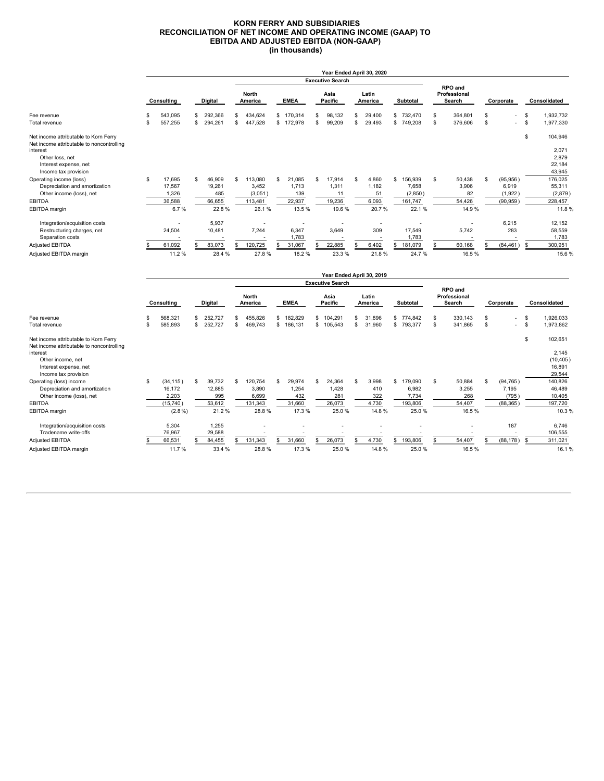#### **KORN FERRY AND SUBSIDIARIES RECONCILIATION OF NET INCOME AND OPERATING INCOME (GAAP) TO EBITDA AND ADJUSTED EBITDA (NON-GAAP) (in thousands)**

|                                                                                                                                                                    |    |                                             |                                                      |                                            |                         |                                                 |             |                                           |                 | Year Ended April 30, 2020                |                  |                                        |          |                                                   |                                   |                                          |           |                                             |          |                                                  |
|--------------------------------------------------------------------------------------------------------------------------------------------------------------------|----|---------------------------------------------|------------------------------------------------------|--------------------------------------------|-------------------------|-------------------------------------------------|-------------|-------------------------------------------|-----------------|------------------------------------------|------------------|----------------------------------------|----------|---------------------------------------------------|-----------------------------------|------------------------------------------|-----------|---------------------------------------------|----------|--------------------------------------------------|
|                                                                                                                                                                    |    |                                             |                                                      |                                            |                         |                                                 |             |                                           |                 | <b>Executive Search</b>                  |                  |                                        |          |                                                   |                                   |                                          |           |                                             |          |                                                  |
|                                                                                                                                                                    |    |                                             | Consulting<br>Digital                                |                                            | <b>North</b><br>America |                                                 | <b>EMEA</b> |                                           | Asia<br>Pacific |                                          | Latin<br>America |                                        | Subtotal |                                                   | RPO and<br>Professional<br>Search |                                          | Corporate |                                             |          | Consolidated                                     |
| Fee revenue<br>Total revenue                                                                                                                                       | \$ | 543.095<br>557,255                          | s.<br>\$                                             | 292.366<br>294,261                         | S.                      | 434.624<br>447,528                              | \$          | 170.314<br>\$172,978                      | \$<br>\$        | 98.132<br>99,209                         | s                | 29,400<br>29,493                       |          | \$732,470<br>\$749,208                            | S<br>s                            | 364.801<br>376,606                       | S<br>\$   | $\overline{\phantom{a}}$<br>$\sim$          | \$<br>\$ | 1.932.732<br>1,977,330                           |
| Net income attributable to Korn Ferry<br>Net income attributable to noncontrolling<br>interest<br>Other loss, net<br>Interest expense, net<br>Income tax provision |    |                                             |                                                      |                                            |                         |                                                 |             |                                           |                 |                                          |                  |                                        |          |                                                   |                                   |                                          |           |                                             | \$       | 104,946<br>2,071<br>2,879<br>22,184<br>43,945    |
| Operating income (loss)<br>Depreciation and amortization<br>Other income (loss), net<br><b>EBITDA</b><br>EBITDA margin                                             | \$ | 17,695<br>17,567<br>1,326<br>36,588<br>6.7% | S                                                    | 46,909<br>19,261<br>485<br>66,655<br>22.8% | S                       | 113,080<br>3,452<br>(3,051)<br>113,481<br>26.1% | S           | 21,085<br>1,713<br>139<br>22,937<br>13.5% | \$              | 17,914<br>1,311<br>11<br>19,236<br>19.6% | S                | 4,860<br>1,182<br>51<br>6,093<br>20.7% |          | \$156,939<br>7,658<br>(2,850)<br>161,747<br>22.1% | \$                                | 50,438<br>3,906<br>82<br>54,426<br>14.9% | \$        | (95, 956)<br>6,919<br>(1, 922)<br>(90, 959) |          | 176,025<br>55,311<br>(2,879)<br>228,457<br>11.8% |
| Integration/acquisition costs<br>Restructuring charges, net<br>Separation costs<br>Adjusted EBITDA<br>Adjusted EBITDA margin                                       |    | 24,504<br>61,092<br>11.2%                   |                                                      | 5,937<br>10,481<br>83,073<br>28.4%         |                         | 7,244<br>120,725<br>27.8%                       |             | 6,347<br>1,783<br>31,067<br>18.2%         |                 | 3,649<br>22,885<br>23.3%                 |                  | 309<br>6,402<br>21.8%                  |          | 17,549<br>1,783<br>181,079<br>24.7%               |                                   | 5,742<br>60,168<br>16.5%                 |           | 6,215<br>283<br>(84, 461)                   | -S       | 12,152<br>58,559<br>1,783<br>300,951<br>15.6%    |
|                                                                                                                                                                    |    |                                             | Year Ended April 30, 2019<br><b>Executive Search</b> |                                            |                         |                                                 |             |                                           |                 |                                          |                  |                                        |          |                                                   |                                   |                                          |           |                                             |          |                                                  |
|                                                                                                                                                                    |    |                                             |                                                      |                                            |                         | <b>North</b>                                    |             |                                           |                 | Asia                                     |                  | Latin                                  |          |                                                   |                                   | <b>RPO</b> and<br>Professional           |           |                                             |          |                                                  |

|                                                                                                                                                                      |    | Consulting                                             |           | Digital                                    | North<br>America                              |          | <b>EMEA</b>                                |          | Asia<br>Pacific                           |   | Latin<br>America                      |     | Subtotal                                     |         | <b>RPO and</b><br>Professional<br>Search  |         | Corporate                                |          | Consolidated                                      |
|----------------------------------------------------------------------------------------------------------------------------------------------------------------------|----|--------------------------------------------------------|-----------|--------------------------------------------|-----------------------------------------------|----------|--------------------------------------------|----------|-------------------------------------------|---|---------------------------------------|-----|----------------------------------------------|---------|-------------------------------------------|---------|------------------------------------------|----------|---------------------------------------------------|
| Fee revenue<br>Total revenue                                                                                                                                         | S  | 568,321<br>585,893                                     | S.<br>\$. | 252.727<br>252,727                         | 455,826<br>469,743                            | s.<br>S. | 182.829<br>186,131                         | \$<br>\$ | 104,291<br>105,543                        |   | 31,896<br>31,960                      | \$  | \$774,842<br>793,377                         | S<br>\$ | 330,143<br>341,865                        | S<br>\$ | $\sim$<br>$\sim$                         | \$.<br>S | 1,926,033<br>1,973,862                            |
| Net income attributable to Korn Ferry<br>Net income attributable to noncontrolling<br>interest<br>Other income, net<br>Interest expense, net<br>Income tax provision |    |                                                        |           |                                            |                                               |          |                                            |          |                                           |   |                                       |     |                                              |         |                                           |         |                                          | \$       | 102,651<br>2,145<br>(10, 405)<br>16,891<br>29,544 |
| Operating (loss) income<br>Depreciation and amortization<br>Other income (loss), net<br><b>EBITDA</b><br>EBITDA margin                                               | s. | (34, 115)<br>16,172<br>2,203<br>(15, 740)<br>$(2.8\%)$ | \$        | 39,732<br>12,885<br>995<br>53,612<br>21.2% | 120,754<br>3,890<br>6,699<br>131,343<br>28.8% | \$       | 29,974<br>1,254<br>432<br>31,660<br>17.3 % | \$       | 24,364<br>1,428<br>281<br>26,073<br>25.0% | S | 3,998<br>410<br>322<br>4,730<br>14.8% | \$. | 79,090<br>6,982<br>7,734<br>193,806<br>25.0% | s       | 50,884<br>3,255<br>268<br>54,407<br>16.5% | \$      | (94, 765)<br>7,195<br>(795)<br>(88, 365) |          | 140,826<br>46,489<br>10,405<br>197,720<br>10.3%   |
| Integration/acquisition costs<br>Tradename write-offs<br>Adjusted EBITDA<br>Adjusted EBITDA margin                                                                   |    | 5,304<br>76,967<br>66,531<br>11.7%                     |           | 1,255<br>29,588<br>84,455<br>33.4 %        | 131,343<br>28.8%                              |          | 31,660<br>17.3%                            |          | 26,073<br>25.0%                           |   | 4,730<br>14.8%                        |     | 193,806<br>25.0%                             |         | 54,407<br>16.5%                           |         | 187<br>(88, 178)                         |          | 6,746<br>106,555<br>311,021<br>16.1%              |